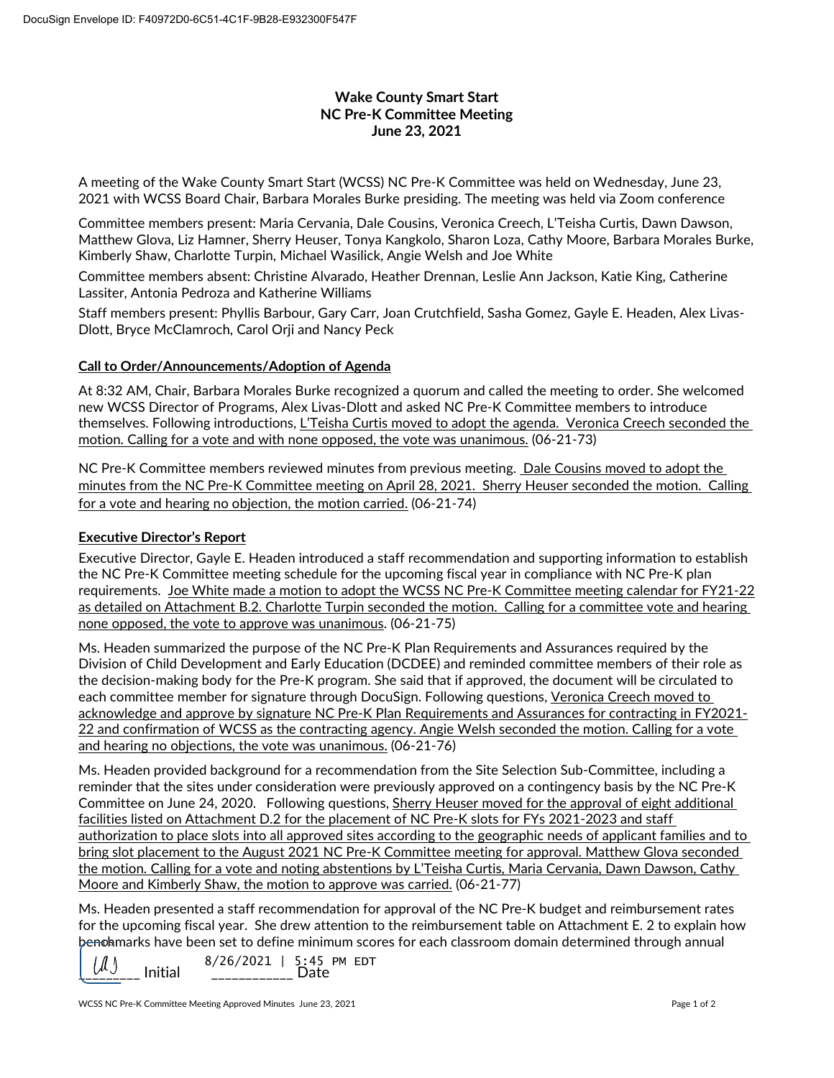## **Wake County Smart Start NC Pre-K Committee Meeting June 23, 2021**

A meeting of the Wake County Smart Start (WCSS) NC Pre-K Committee was held on Wednesday, June 23, 2021 with WCSS Board Chair, Barbara Morales Burke presiding. The meeting was held via Zoom conference

Committee members present: Maria Cervania, Dale Cousins, Veronica Creech, L'Teisha Curtis, Dawn Dawson, Matthew Glova, Liz Hamner, Sherry Heuser, Tonya Kangkolo, Sharon Loza, Cathy Moore, Barbara Morales Burke, Kimberly Shaw, Charlotte Turpin, Michael Wasilick, Angie Welsh and Joe White

Committee members absent: Christine Alvarado, Heather Drennan, Leslie Ann Jackson, Katie King, Catherine Lassiter, Antonia Pedroza and Katherine Williams

Staff members present: Phyllis Barbour, Gary Carr, Joan Crutchfield, Sasha Gomez, Gayle E. Headen, Alex Livas-Dlott, Bryce McClamroch, Carol Orji and Nancy Peck

## **Call to Order/Announcements/Adoption of Agenda**

At 8:32 AM, Chair, Barbara Morales Burke recognized a quorum and called the meeting to order. She welcomed new WCSS Director of Programs, Alex Livas-Dlott and asked NC Pre-K Committee members to introduce themselves. Following introductions, L'Teisha Curtis moved to adopt the agenda. Veronica Creech seconded the motion. Calling for a vote and with none opposed, the vote was unanimous. (06-21-73)

NC Pre-K Committee members reviewed minutes from previous meeting. Dale Cousins moved to adopt the minutes from the NC Pre-K Committee meeting on April 28, 2021. Sherry Heuser seconded the motion. Calling for a vote and hearing no objection, the motion carried. (06-21-74)

## **Executive Director's Report**

Executive Director, Gayle E. Headen introduced a staff recommendation and supporting information to establish the NC Pre-K Committee meeting schedule for the upcoming fiscal year in compliance with NC Pre-K plan requirements. Joe White made a motion to adopt the WCSS NC Pre-K Committee meeting calendar for FY21-22 as detailed on Attachment B.2. Charlotte Turpin seconded the motion. Calling for a committee vote and hearing none opposed, the vote to approve was unanimous. (06-21-75)

Ms. Headen summarized the purpose of the NC Pre-K Plan Requirements and Assurances required by the Division of Child Development and Early Education (DCDEE) and reminded committee members of their role as the decision-making body for the Pre-K program. She said that if approved, the document will be circulated to each committee member for signature through DocuSign. Following questions, Veronica Creech moved to acknowledge and approve by signature NC Pre-K Plan Requirements and Assurances for contracting in FY2021- 22 and confirmation of WCSS as the contracting agency. Angie Welsh seconded the motion. Calling for a vote and hearing no objections, the vote was unanimous. (06-21-76)

Ms. Headen provided background for a recommendation from the Site Selection Sub-Committee, including a reminder that the sites under consideration were previously approved on a contingency basis by the NC Pre-K Committee on June 24, 2020. Following questions, Sherry Heuser moved for the approval of eight additional facilities listed on Attachment D.2 for the placement of NC Pre-K slots for FYs 2021-2023 and staff authorization to place slots into all approved sites according to the geographic needs of applicant families and to bring slot placement to the August 2021 NC Pre-K Committee meeting for approval. Matthew Glova seconded the motion. Calling for a vote and noting abstentions by L'Teisha Curtis, Maria Cervania, Dawn Dawson, Cathy Moore and Kimberly Shaw, the motion to approve was carried. (06-21-77)

Ms. Headen presented a staff recommendation for approval of the NC Pre-K budget and reimbursement rates for the upcoming fiscal year. She drew attention to the reimbursement table on Attachment E. 2 to explain how benohmarks have been set to define minimum scores for each classroom domain determined through annual